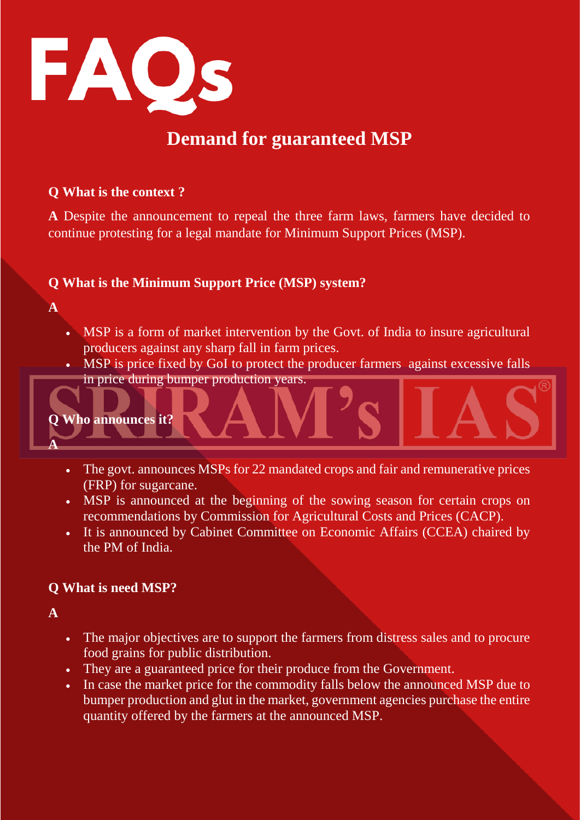

# **Demand for guaranteed MSP**

# **Q What is the context ?**

**A** Despite the announcement to repeal the three farm laws, farmers have decided to continue protesting for a legal mandate for Minimum Support Prices (MSP).

# **Q What is the Minimum Support Price (MSP) system?**

**A** 

**A** 

- MSP is a form of market intervention by the Govt. of India to insure agricultural producers against any sharp fall in farm prices.
- MSP is price fixed by GoI to protect the producer farmers against excessive falls in price during bumper production years.

**Q Who announces it?**

- The govt. announces MSPs for 22 mandated crops and fair and remunerative prices (FRP) for sugarcane.
- MSP is announced at the beginning of the sowing season for certain crops on recommendations by Commission for Agricultural Costs and Prices (CACP).
- It is announced by Cabinet Committee on Economic Affairs (CCEA) chaired by the PM of India.

# **Q What is need MSP?**

**A** 

- The major objectives are to support the farmers from distress sales and to procure food grains for public distribution.
- They are a guaranteed price for their produce from the Government.
- In case the market price for the commodity falls below the announced MSP due to bumper production and glut in the market, government agencies purchase the entire quantity offered by the farmers at the announced MSP.